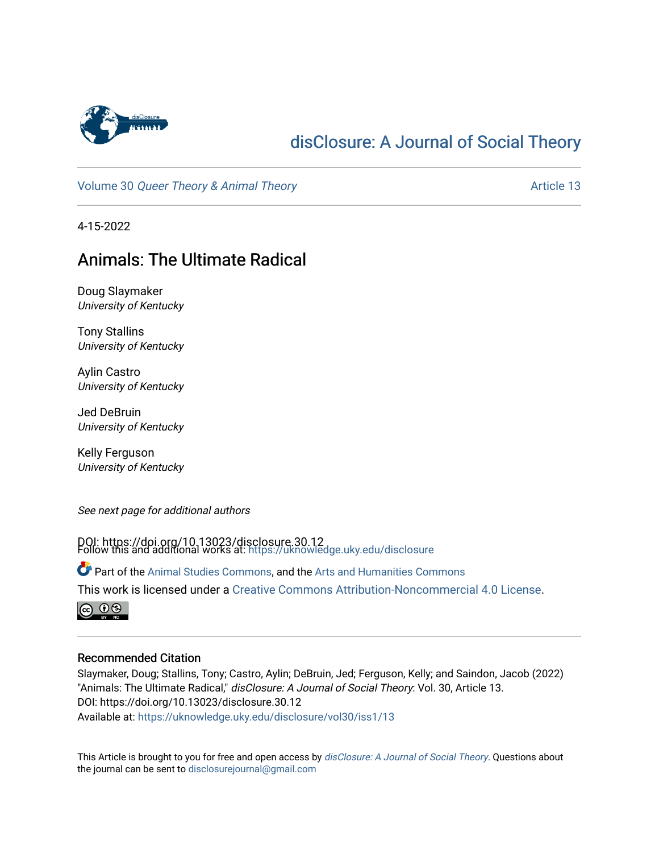

# [disClosure: A Journal of Social Theory](https://uknowledge.uky.edu/disclosure)

Volume 30 [Queer Theory & Animal Theory](https://uknowledge.uky.edu/disclosure/vol30) Article 13

4-15-2022

## Animals: The Ultimate Radical

Doug Slaymaker University of Kentucky

Tony Stallins University of Kentucky

Aylin Castro University of Kentucky

Jed DeBruin University of Kentucky

Kelly Ferguson University of Kentucky

See next page for additional authors

DOI: https://doi.org/10.13023/disclosure.30.12 Follow this and additional works at: [https://uknowledge.uky.edu/disclosure](https://uknowledge.uky.edu/disclosure?utm_source=uknowledge.uky.edu%2Fdisclosure%2Fvol30%2Fiss1%2F13&utm_medium=PDF&utm_campaign=PDFCoverPages)

Part of the [Animal Studies Commons,](http://network.bepress.com/hgg/discipline/1306?utm_source=uknowledge.uky.edu%2Fdisclosure%2Fvol30%2Fiss1%2F13&utm_medium=PDF&utm_campaign=PDFCoverPages) and the [Arts and Humanities Commons](http://network.bepress.com/hgg/discipline/438?utm_source=uknowledge.uky.edu%2Fdisclosure%2Fvol30%2Fiss1%2F13&utm_medium=PDF&utm_campaign=PDFCoverPages) This work is licensed under a [Creative Commons Attribution-Noncommercial 4.0 License](https://creativecommons.org/licenses/by-nc/4.0/).



#### Recommended Citation

Slaymaker, Doug; Stallins, Tony; Castro, Aylin; DeBruin, Jed; Ferguson, Kelly; and Saindon, Jacob (2022) "Animals: The Ultimate Radical," disClosure: A Journal of Social Theory: Vol. 30, Article 13. DOI: https://doi.org/10.13023/disclosure.30.12 Available at: [https://uknowledge.uky.edu/disclosure/vol30/iss1/13](https://uknowledge.uky.edu/disclosure/vol30/iss1/13?utm_source=uknowledge.uky.edu%2Fdisclosure%2Fvol30%2Fiss1%2F13&utm_medium=PDF&utm_campaign=PDFCoverPages) 

This Article is brought to you for free and open access by [disClosure: A Journal of Social Theory](https://uknowledge.uky.edu/disclosure). Questions about the journal can be sent to [disclosurejournal@gmail.com](mailto:disclosurejournal@gmail.com)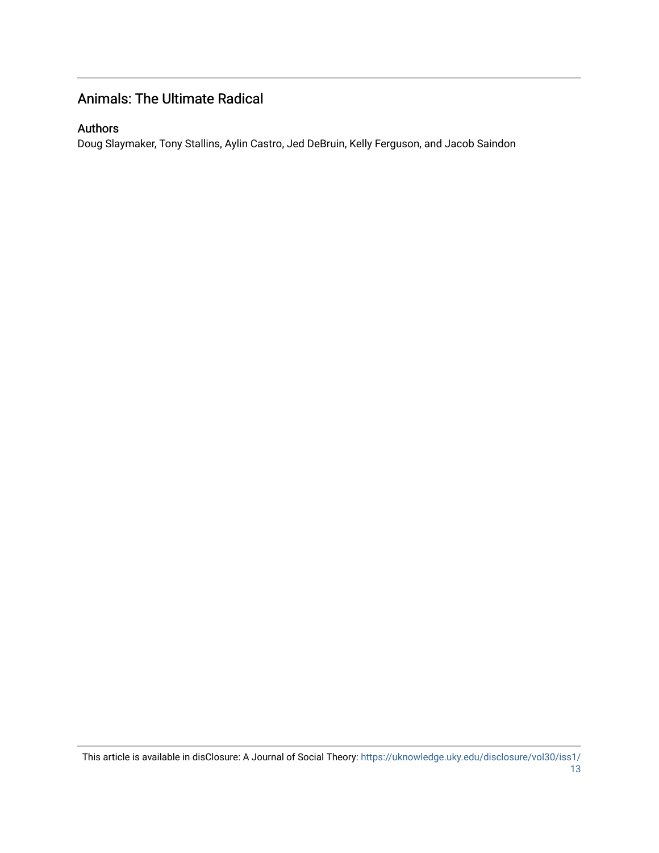### Animals: The Ultimate Radical

#### Authors

Doug Slaymaker, Tony Stallins, Aylin Castro, Jed DeBruin, Kelly Ferguson, and Jacob Saindon

This article is available in disClosure: A Journal of Social Theory: [https://uknowledge.uky.edu/disclosure/vol30/iss1/](https://uknowledge.uky.edu/disclosure/vol30/iss1/13) [13](https://uknowledge.uky.edu/disclosure/vol30/iss1/13)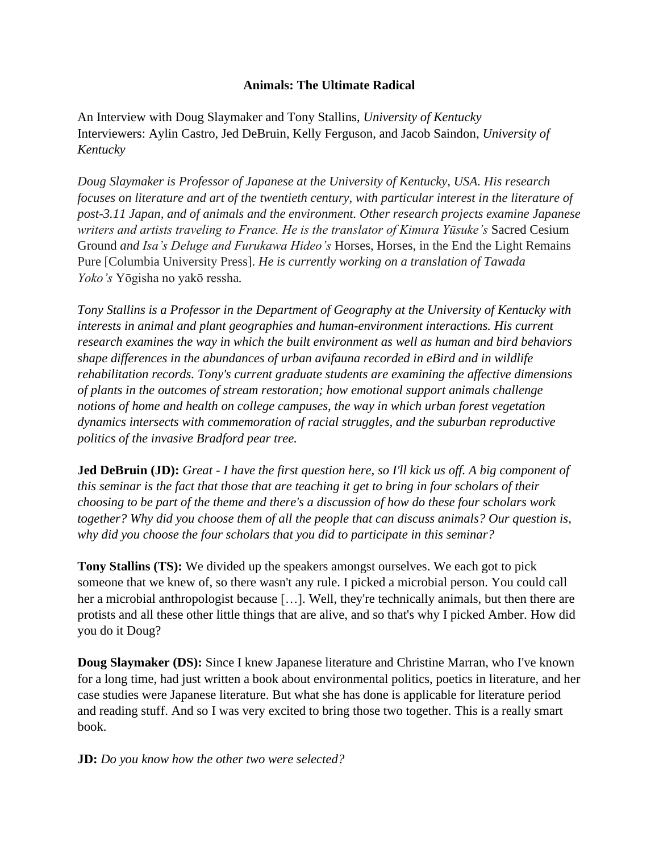#### **Animals: The Ultimate Radical**

An Interview with Doug Slaymaker and Tony Stallins, *University of Kentucky* Interviewers: Aylin Castro, Jed DeBruin, Kelly Ferguson, and Jacob Saindon, *University of Kentucky*

*Doug Slaymaker is Professor of Japanese at the University of Kentucky, USA. His research focuses on literature and art of the twentieth century, with particular interest in the literature of post-3.11 Japan, and of animals and the environment. Other research projects examine Japanese writers and artists traveling to France. He is the translator of Kimura Yūsuke's* Sacred Cesium Ground *and Isa's Deluge and Furukawa Hideo's* Horses, Horses, in the End the Light Remains Pure [Columbia University Press]. *He is currently working on a translation of Tawada Yoko's* Yōgisha no yakō ressha*.*

*Tony Stallins is a Professor in the Department of Geography at the University of Kentucky with interests in animal and plant geographies and human-environment interactions. His current research examines the way in which the built environment as well as human and bird behaviors shape differences in the abundances of urban avifauna recorded in eBird and in wildlife rehabilitation records. Tony's current graduate students are examining the affective dimensions of plants in the outcomes of stream restoration; how emotional support animals challenge notions of home and health on college campuses, the way in which urban forest vegetation dynamics intersects with commemoration of racial struggles, and the suburban reproductive politics of the invasive Bradford pear tree.*

**Jed DeBruin (JD):** *Great - I have the first question here, so I'll kick us off. A big component of this seminar is the fact that those that are teaching it get to bring in four scholars of their choosing to be part of the theme and there's a discussion of how do these four scholars work together? Why did you choose them of all the people that can discuss animals? Our question is, why did you choose the four scholars that you did to participate in this seminar?*

**Tony Stallins (TS):** We divided up the speakers amongst ourselves. We each got to pick someone that we knew of, so there wasn't any rule. I picked a microbial person. You could call her a microbial anthropologist because [...]. Well, they're technically animals, but then there are protists and all these other little things that are alive, and so that's why I picked Amber. How did you do it Doug?

**Doug Slaymaker (DS):** Since I knew Japanese literature and Christine Marran, who I've known for a long time, had just written a book about environmental politics, poetics in literature, and her case studies were Japanese literature. But what she has done is applicable for literature period and reading stuff. And so I was very excited to bring those two together. This is a really smart book.

**JD:** *Do you know how the other two were selected?*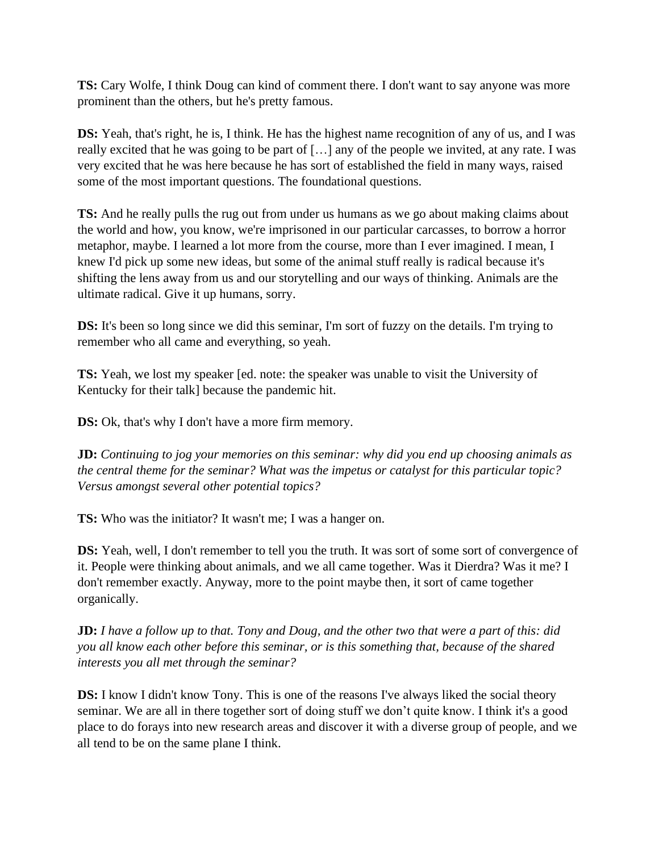**TS:** Cary Wolfe, I think Doug can kind of comment there. I don't want to say anyone was more prominent than the others, but he's pretty famous.

**DS:** Yeah, that's right, he is, I think. He has the highest name recognition of any of us, and I was really excited that he was going to be part of […] any of the people we invited, at any rate. I was very excited that he was here because he has sort of established the field in many ways, raised some of the most important questions. The foundational questions.

**TS:** And he really pulls the rug out from under us humans as we go about making claims about the world and how, you know, we're imprisoned in our particular carcasses, to borrow a horror metaphor, maybe. I learned a lot more from the course, more than I ever imagined. I mean, I knew I'd pick up some new ideas, but some of the animal stuff really is radical because it's shifting the lens away from us and our storytelling and our ways of thinking. Animals are the ultimate radical. Give it up humans, sorry.

**DS:** It's been so long since we did this seminar, I'm sort of fuzzy on the details. I'm trying to remember who all came and everything, so yeah.

**TS:** Yeah, we lost my speaker [ed. note: the speaker was unable to visit the University of Kentucky for their talk] because the pandemic hit.

**DS:** Ok, that's why I don't have a more firm memory.

**JD:** *Continuing to jog your memories on this seminar: why did you end up choosing animals as the central theme for the seminar? What was the impetus or catalyst for this particular topic? Versus amongst several other potential topics?* 

**TS:** Who was the initiator? It wasn't me; I was a hanger on.

**DS:** Yeah, well, I don't remember to tell you the truth. It was sort of some sort of convergence of it. People were thinking about animals, and we all came together. Was it Dierdra? Was it me? I don't remember exactly. Anyway, more to the point maybe then, it sort of came together organically.

**JD:** *I have a follow up to that. Tony and Doug, and the other two that were a part of this: did you all know each other before this seminar, or is this something that, because of the shared interests you all met through the seminar?*

**DS:** I know I didn't know Tony. This is one of the reasons I've always liked the social theory seminar. We are all in there together sort of doing stuff we don't quite know. I think it's a good place to do forays into new research areas and discover it with a diverse group of people, and we all tend to be on the same plane I think.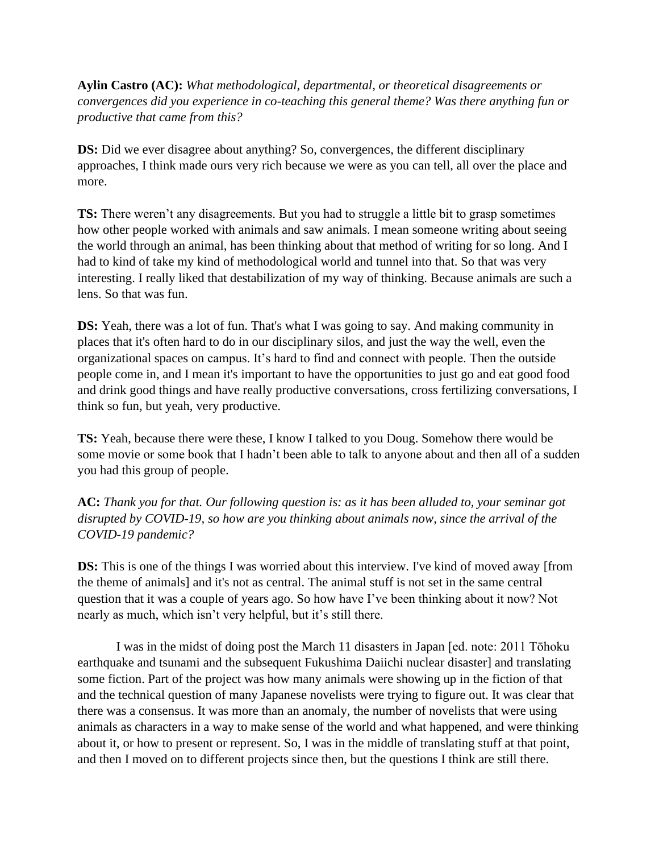**Aylin Castro (AC):** *What methodological, departmental, or theoretical disagreements or convergences did you experience in co-teaching this general theme? Was there anything fun or productive that came from this?*

**DS:** Did we ever disagree about anything? So, convergences, the different disciplinary approaches, I think made ours very rich because we were as you can tell, all over the place and more.

**TS:** There weren't any disagreements. But you had to struggle a little bit to grasp sometimes how other people worked with animals and saw animals. I mean someone writing about seeing the world through an animal, has been thinking about that method of writing for so long. And I had to kind of take my kind of methodological world and tunnel into that. So that was very interesting. I really liked that destabilization of my way of thinking. Because animals are such a lens. So that was fun.

**DS:** Yeah, there was a lot of fun. That's what I was going to say. And making community in places that it's often hard to do in our disciplinary silos, and just the way the well, even the organizational spaces on campus. It's hard to find and connect with people. Then the outside people come in, and I mean it's important to have the opportunities to just go and eat good food and drink good things and have really productive conversations, cross fertilizing conversations, I think so fun, but yeah, very productive.

**TS:** Yeah, because there were these, I know I talked to you Doug. Somehow there would be some movie or some book that I hadn't been able to talk to anyone about and then all of a sudden you had this group of people.

**AC:** *Thank you for that. Our following question is: as it has been alluded to, your seminar got disrupted by COVID-19, so how are you thinking about animals now, since the arrival of the COVID-19 pandemic?*

**DS:** This is one of the things I was worried about this interview. I've kind of moved away [from the theme of animals] and it's not as central. The animal stuff is not set in the same central question that it was a couple of years ago. So how have I've been thinking about it now? Not nearly as much, which isn't very helpful, but it's still there.

I was in the midst of doing post the March 11 disasters in Japan [ed. note: 2011 Tōhoku earthquake and tsunami and the subsequent Fukushima Daiichi nuclear disaster] and translating some fiction. Part of the project was how many animals were showing up in the fiction of that and the technical question of many Japanese novelists were trying to figure out. It was clear that there was a consensus. It was more than an anomaly, the number of novelists that were using animals as characters in a way to make sense of the world and what happened, and were thinking about it, or how to present or represent. So, I was in the middle of translating stuff at that point, and then I moved on to different projects since then, but the questions I think are still there.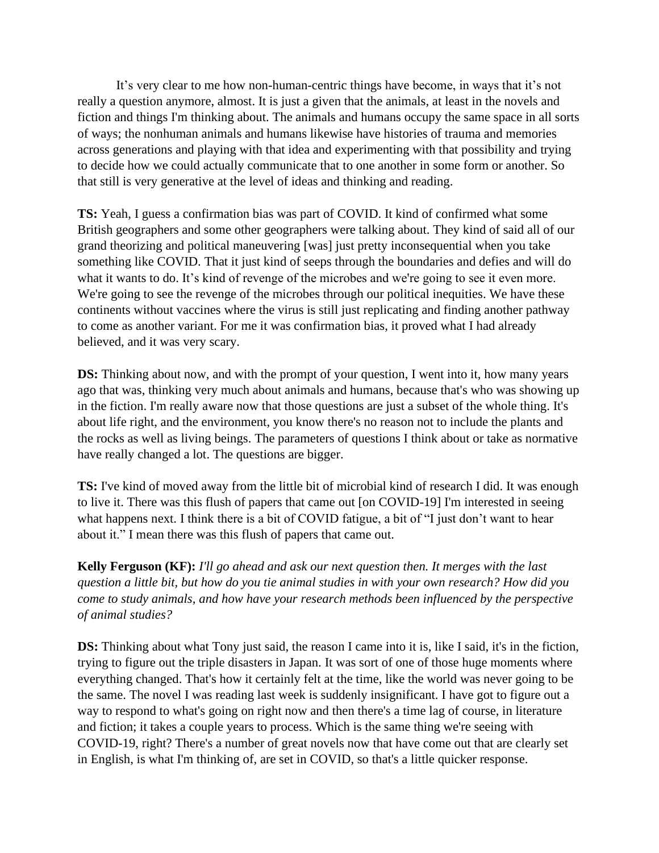It's very clear to me how non-human-centric things have become, in ways that it's not really a question anymore, almost. It is just a given that the animals, at least in the novels and fiction and things I'm thinking about. The animals and humans occupy the same space in all sorts of ways; the nonhuman animals and humans likewise have histories of trauma and memories across generations and playing with that idea and experimenting with that possibility and trying to decide how we could actually communicate that to one another in some form or another. So that still is very generative at the level of ideas and thinking and reading.

**TS:** Yeah, I guess a confirmation bias was part of COVID. It kind of confirmed what some British geographers and some other geographers were talking about. They kind of said all of our grand theorizing and political maneuvering [was] just pretty inconsequential when you take something like COVID. That it just kind of seeps through the boundaries and defies and will do what it wants to do. It's kind of revenge of the microbes and we're going to see it even more. We're going to see the revenge of the microbes through our political inequities. We have these continents without vaccines where the virus is still just replicating and finding another pathway to come as another variant. For me it was confirmation bias, it proved what I had already believed, and it was very scary.

**DS:** Thinking about now, and with the prompt of your question, I went into it, how many years ago that was, thinking very much about animals and humans, because that's who was showing up in the fiction. I'm really aware now that those questions are just a subset of the whole thing. It's about life right, and the environment, you know there's no reason not to include the plants and the rocks as well as living beings. The parameters of questions I think about or take as normative have really changed a lot. The questions are bigger.

**TS:** I've kind of moved away from the little bit of microbial kind of research I did. It was enough to live it. There was this flush of papers that came out [on COVID-19] I'm interested in seeing what happens next. I think there is a bit of COVID fatigue, a bit of "I just don't want to hear about it." I mean there was this flush of papers that came out.

**Kelly Ferguson (KF):** *I'll go ahead and ask our next question then. It merges with the last question a little bit, but how do you tie animal studies in with your own research? How did you come to study animals, and how have your research methods been influenced by the perspective of animal studies?*

**DS:** Thinking about what Tony just said, the reason I came into it is, like I said, it's in the fiction, trying to figure out the triple disasters in Japan. It was sort of one of those huge moments where everything changed. That's how it certainly felt at the time, like the world was never going to be the same. The novel I was reading last week is suddenly insignificant. I have got to figure out a way to respond to what's going on right now and then there's a time lag of course, in literature and fiction; it takes a couple years to process. Which is the same thing we're seeing with COVID-19, right? There's a number of great novels now that have come out that are clearly set in English, is what I'm thinking of, are set in COVID, so that's a little quicker response.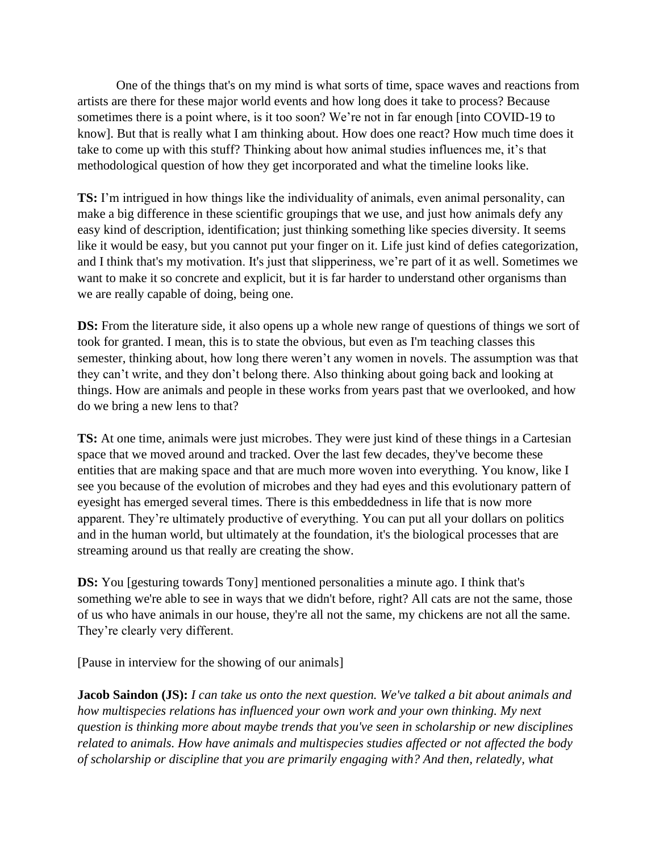One of the things that's on my mind is what sorts of time, space waves and reactions from artists are there for these major world events and how long does it take to process? Because sometimes there is a point where, is it too soon? We're not in far enough [into COVID-19 to know]. But that is really what I am thinking about. How does one react? How much time does it take to come up with this stuff? Thinking about how animal studies influences me, it's that methodological question of how they get incorporated and what the timeline looks like.

**TS:** I'm intrigued in how things like the individuality of animals, even animal personality, can make a big difference in these scientific groupings that we use, and just how animals defy any easy kind of description, identification; just thinking something like species diversity. It seems like it would be easy, but you cannot put your finger on it. Life just kind of defies categorization, and I think that's my motivation. It's just that slipperiness, we're part of it as well. Sometimes we want to make it so concrete and explicit, but it is far harder to understand other organisms than we are really capable of doing, being one.

**DS:** From the literature side, it also opens up a whole new range of questions of things we sort of took for granted. I mean, this is to state the obvious, but even as I'm teaching classes this semester, thinking about, how long there weren't any women in novels. The assumption was that they can't write, and they don't belong there. Also thinking about going back and looking at things. How are animals and people in these works from years past that we overlooked, and how do we bring a new lens to that?

**TS:** At one time, animals were just microbes. They were just kind of these things in a Cartesian space that we moved around and tracked. Over the last few decades, they've become these entities that are making space and that are much more woven into everything. You know, like I see you because of the evolution of microbes and they had eyes and this evolutionary pattern of eyesight has emerged several times. There is this embeddedness in life that is now more apparent. They're ultimately productive of everything. You can put all your dollars on politics and in the human world, but ultimately at the foundation, it's the biological processes that are streaming around us that really are creating the show.

**DS:** You [gesturing towards Tony] mentioned personalities a minute ago. I think that's something we're able to see in ways that we didn't before, right? All cats are not the same, those of us who have animals in our house, they're all not the same, my chickens are not all the same. They're clearly very different.

[Pause in interview for the showing of our animals]

**Jacob Saindon (JS):** *I can take us onto the next question. We've talked a bit about animals and how multispecies relations has influenced your own work and your own thinking. My next question is thinking more about maybe trends that you've seen in scholarship or new disciplines related to animals. How have animals and multispecies studies affected or not affected the body of scholarship or discipline that you are primarily engaging with? And then, relatedly, what*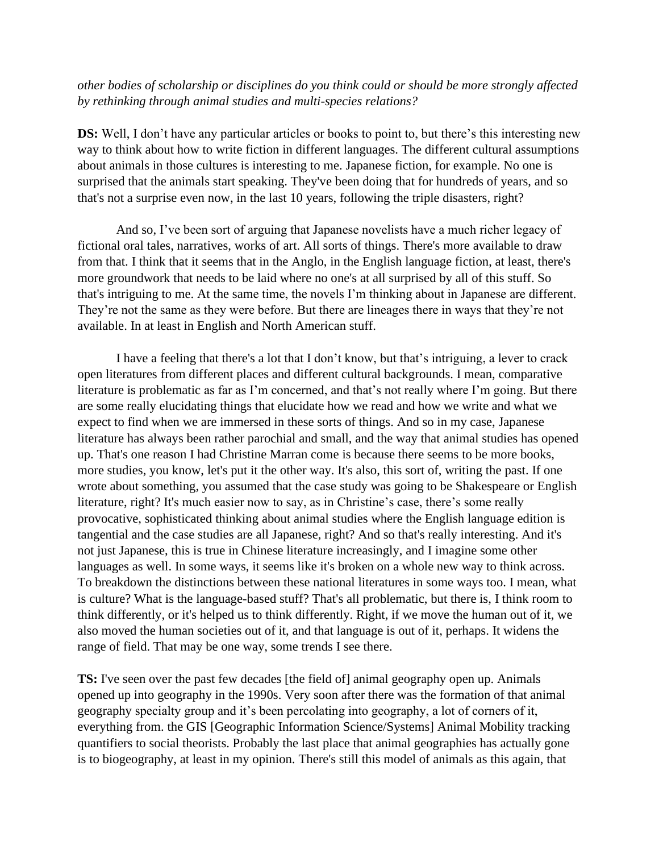#### *other bodies of scholarship or disciplines do you think could or should be more strongly affected by rethinking through animal studies and multi-species relations?*

**DS:** Well, I don't have any particular articles or books to point to, but there's this interesting new way to think about how to write fiction in different languages. The different cultural assumptions about animals in those cultures is interesting to me. Japanese fiction, for example. No one is surprised that the animals start speaking. They've been doing that for hundreds of years, and so that's not a surprise even now, in the last 10 years, following the triple disasters, right?

And so, I've been sort of arguing that Japanese novelists have a much richer legacy of fictional oral tales, narratives, works of art. All sorts of things. There's more available to draw from that. I think that it seems that in the Anglo, in the English language fiction, at least, there's more groundwork that needs to be laid where no one's at all surprised by all of this stuff. So that's intriguing to me. At the same time, the novels I'm thinking about in Japanese are different. They're not the same as they were before. But there are lineages there in ways that they're not available. In at least in English and North American stuff.

I have a feeling that there's a lot that I don't know, but that's intriguing, a lever to crack open literatures from different places and different cultural backgrounds. I mean, comparative literature is problematic as far as I'm concerned, and that's not really where I'm going. But there are some really elucidating things that elucidate how we read and how we write and what we expect to find when we are immersed in these sorts of things. And so in my case, Japanese literature has always been rather parochial and small, and the way that animal studies has opened up. That's one reason I had Christine Marran come is because there seems to be more books, more studies, you know, let's put it the other way. It's also, this sort of, writing the past. If one wrote about something, you assumed that the case study was going to be Shakespeare or English literature, right? It's much easier now to say, as in Christine's case, there's some really provocative, sophisticated thinking about animal studies where the English language edition is tangential and the case studies are all Japanese, right? And so that's really interesting. And it's not just Japanese, this is true in Chinese literature increasingly, and I imagine some other languages as well. In some ways, it seems like it's broken on a whole new way to think across. To breakdown the distinctions between these national literatures in some ways too. I mean, what is culture? What is the language-based stuff? That's all problematic, but there is, I think room to think differently, or it's helped us to think differently. Right, if we move the human out of it, we also moved the human societies out of it, and that language is out of it, perhaps. It widens the range of field. That may be one way, some trends I see there.

**TS:** I've seen over the past few decades [the field of] animal geography open up. Animals opened up into geography in the 1990s. Very soon after there was the formation of that animal geography specialty group and it's been percolating into geography, a lot of corners of it, everything from. the GIS [Geographic Information Science/Systems] Animal Mobility tracking quantifiers to social theorists. Probably the last place that animal geographies has actually gone is to biogeography, at least in my opinion. There's still this model of animals as this again, that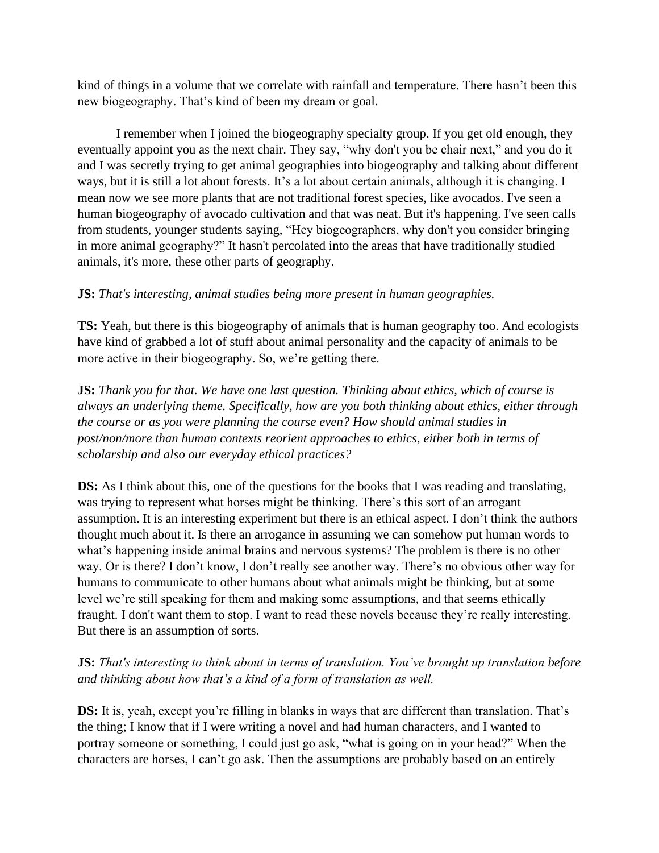kind of things in a volume that we correlate with rainfall and temperature. There hasn't been this new biogeography. That's kind of been my dream or goal.

I remember when I joined the biogeography specialty group. If you get old enough, they eventually appoint you as the next chair. They say, "why don't you be chair next," and you do it and I was secretly trying to get animal geographies into biogeography and talking about different ways, but it is still a lot about forests. It's a lot about certain animals, although it is changing. I mean now we see more plants that are not traditional forest species, like avocados. I've seen a human biogeography of avocado cultivation and that was neat. But it's happening. I've seen calls from students, younger students saying, "Hey biogeographers, why don't you consider bringing in more animal geography?" It hasn't percolated into the areas that have traditionally studied animals, it's more, these other parts of geography.

#### **JS:** *That's interesting, animal studies being more present in human geographies.*

**TS:** Yeah, but there is this biogeography of animals that is human geography too. And ecologists have kind of grabbed a lot of stuff about animal personality and the capacity of animals to be more active in their biogeography. So, we're getting there.

**JS:** *Thank you for that. We have one last question. Thinking about ethics, which of course is always an underlying theme. Specifically, how are you both thinking about ethics, either through the course or as you were planning the course even? How should animal studies in post/non/more than human contexts reorient approaches to ethics, either both in terms of scholarship and also our everyday ethical practices?*

**DS:** As I think about this, one of the questions for the books that I was reading and translating, was trying to represent what horses might be thinking. There's this sort of an arrogant assumption. It is an interesting experiment but there is an ethical aspect. I don't think the authors thought much about it. Is there an arrogance in assuming we can somehow put human words to what's happening inside animal brains and nervous systems? The problem is there is no other way. Or is there? I don't know, I don't really see another way. There's no obvious other way for humans to communicate to other humans about what animals might be thinking, but at some level we're still speaking for them and making some assumptions, and that seems ethically fraught. I don't want them to stop. I want to read these novels because they're really interesting. But there is an assumption of sorts.

#### **JS:** *That's interesting to think about in terms of translation. You've brought up translation before and thinking about how that's a kind of a form of translation as well.*

**DS:** It is, yeah, except you're filling in blanks in ways that are different than translation. That's the thing; I know that if I were writing a novel and had human characters, and I wanted to portray someone or something, I could just go ask, "what is going on in your head?" When the characters are horses, I can't go ask. Then the assumptions are probably based on an entirely